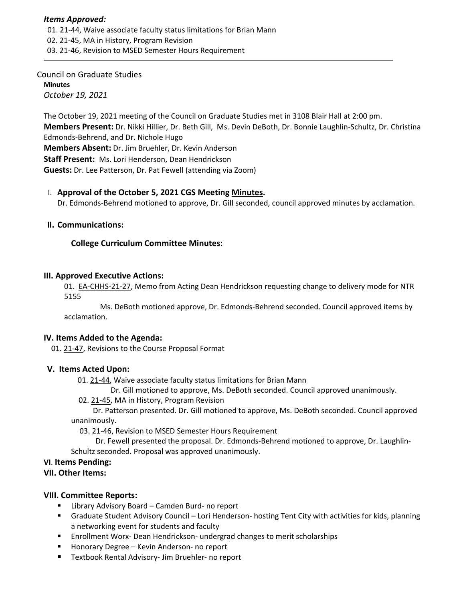#### *Items Approved:*

 01. 21‐[44,](https://castle.eiu.edu/eiucgs/currentagendaitems/agenda21-44.pdf) Waive associate faculty status limitations for Brian Mann 02. 21‐[45,](https://castle.eiu.edu/eiucgs/currentagendaitems/agenda21-45.pdf) MA in History, Program Revision 03. 21‐[46,](https://castle.eiu.edu/eiucgs/currentagendaitems/agenda21-46.pdf) Revision to MSED Semester Hours Requirement

#### Council on Graduate Studies **Minutes** *October 19, 2021*

The October 19, 2021 meeting of the Council on Graduate Studies met in 3108 Blair Hall at 2:00 pm. **Members Present:** Dr. Nikki Hillier, Dr. Beth Gill, Ms. Devin DeBoth, Dr. Bonnie Laughlin‐Schultz, Dr. Christina Edmonds‐Behrend, and Dr. Nichole Hugo **Members Absent:** Dr. Jim Bruehler, Dr. Kevin Anderson **Staff Present:** Ms. Lori Henderson, Dean Hendrickson **Guests:** Dr. Lee Patterson, Dr. Pat Fewell (attending via Zoom)

## I. **Approval of the October 5, 2021 CGS Meeting [Minutes.](https://castle.eiu.edu/eiucgs/currentminutes/Minutes10-5-21.pdf)**

Dr. Edmonds‐Behrend motioned to approve, Dr. Gill seconded, council approved minutes by acclamation.

## **II. Communications:**

# **College Curriculum Committee Minutes:**

## **III. Approved Executive Actions:**

01. EA-[CHHS](https://castle.eiu.edu/eiucgs/exec-actions/EA-CHHS-21-27.pdf)-21-27, Memo from Acting Dean Hendrickson requesting change to delivery mode for NTR 5155

 Ms. DeBoth motioned approve, Dr. Edmonds‐Behrend seconded. Council approved items by acclamation.

## **IV. Items Added to the Agenda:**

01. 21‐[47,](https://castle.eiu.edu/eiucgs/currentagendaitems/agenda21-47.pdf) Revisions to the Course Proposal Format

## **V. Items Acted Upon:**

01. 21-[44,](https://castle.eiu.edu/eiucgs/currentagendaitems/agenda21-44.pdf) Waive associate faculty status limitations for Brian Mann

Dr. Gill motioned to approve, Ms. DeBoth seconded. Council approved unanimously.

02. 21‐[45,](https://castle.eiu.edu/eiucgs/currentagendaitems/agenda21-45.pdf) MA in History, Program Revision

 Dr. Patterson presented. Dr. Gill motioned to approve, Ms. DeBoth seconded. Council approved unanimously.

03. 21‐[46,](https://castle.eiu.edu/eiucgs/currentagendaitems/agenda21-46.pdf) Revision to MSED Semester Hours Requirement

 Dr. Fewell presented the proposal. Dr. Edmonds‐Behrend motioned to approve, Dr. Laughlin‐ Schultz seconded. Proposal was approved unanimously.

## **VI**. **Items Pending:**

**VII. Other Items:**

## **VIII. Committee Reports:**

- Library Advisory Board Camden Burd- no report
- Graduate Student Advisory Council Lori Henderson- hosting Tent City with activities for kids, planning a networking event for students and faculty
- Enrollment Worx- Dean Hendrickson- undergrad changes to merit scholarships
- Honorary Degree Kevin Anderson- no report
- Textbook Rental Advisory- Jim Bruehler- no report